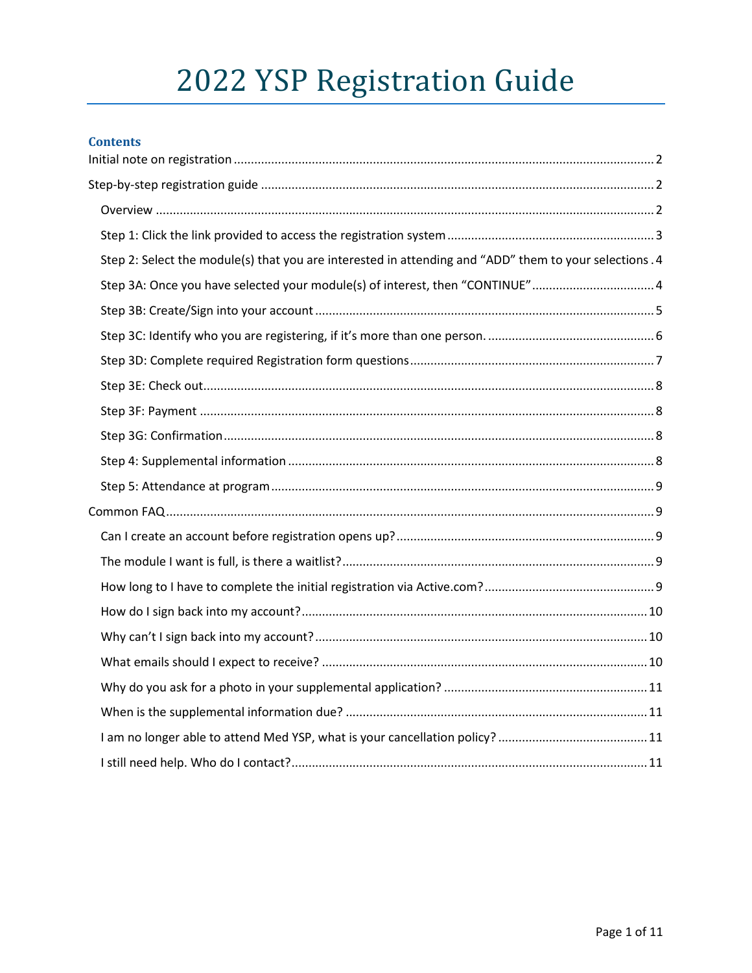# 2022 YSP Registration Guide

| Contents |  |
|----------|--|
|          |  |

| Step 2: Select the module(s) that you are interested in attending and "ADD" them to your selections . 4 |  |
|---------------------------------------------------------------------------------------------------------|--|
| Step 3A: Once you have selected your module(s) of interest, then "CONTINUE"4                            |  |
|                                                                                                         |  |
|                                                                                                         |  |
|                                                                                                         |  |
|                                                                                                         |  |
|                                                                                                         |  |
|                                                                                                         |  |
|                                                                                                         |  |
|                                                                                                         |  |
|                                                                                                         |  |
|                                                                                                         |  |
|                                                                                                         |  |
|                                                                                                         |  |
|                                                                                                         |  |
|                                                                                                         |  |
|                                                                                                         |  |
|                                                                                                         |  |
|                                                                                                         |  |
|                                                                                                         |  |
|                                                                                                         |  |
|                                                                                                         |  |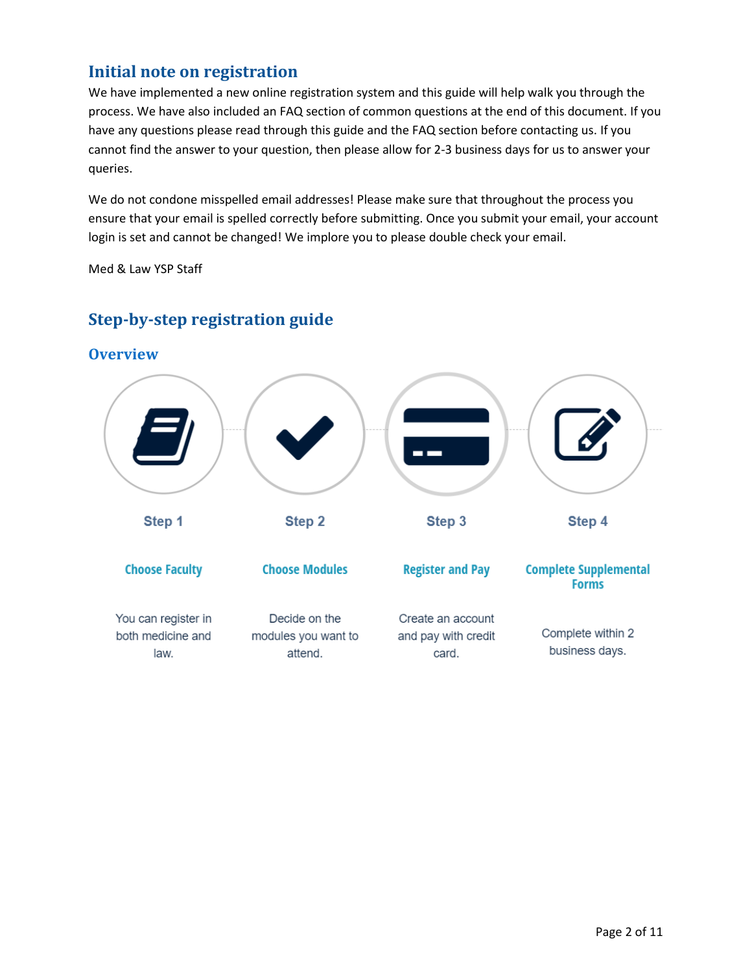# <span id="page-1-0"></span>**Initial note on registration**

We have implemented a new online registration system and this guide will help walk you through the process. We have also included an FAQ section of common questions at the end of this document. If you have any questions please read through this guide and the FAQ section before contacting us. If you cannot find the answer to your question, then please allow for 2-3 business days for us to answer your queries.

We do not condone misspelled email addresses! Please make sure that throughout the process you ensure that your email is spelled correctly before submitting. Once you submit your email, your account login is set and cannot be changed! We implore you to please double check your email.

Med & Law YSP Staff



# <span id="page-1-1"></span>**Step-by-step registration guide**

<span id="page-1-2"></span>**Overview**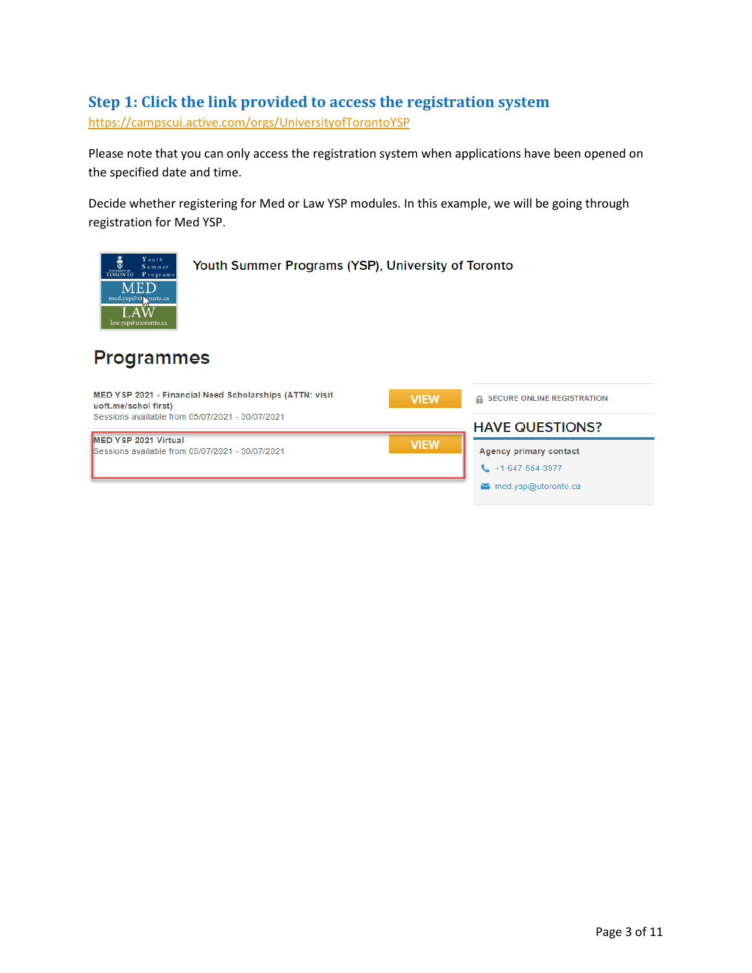# <span id="page-2-0"></span>**Step 1: Click the link provided to access the registration system**

<https://campscui.active.com/orgs/UniversityofTorontoYSP>

Please note that you can only access the registration system when applications have been opened on the specified date and time.

Decide whether registering for Med or Law YSP modules. In this example, we will be going through registration for Med YSP.



# **Programmes**

| MED YSP 2021 - Financial Need Scholarships (ATTN: visit<br>uoft.me/schol first) | <b>VIEW</b>                                                 | A SECURE ONLINE REGISTRATION |
|---------------------------------------------------------------------------------|-------------------------------------------------------------|------------------------------|
| Sessions available from 05/07/2021 - 30/07/2021                                 |                                                             | <b>HAVE QUESTIONS?</b>       |
| <b>IMED YSP 2021 Virtual</b><br>Sessions available from 05/07/2021 - 30/07/2021 | <b>Agency primary contact</b><br>$1 + 1 - 647 - 554 - 3977$ |                              |
|                                                                                 |                                                             | med.ysp@utoronto.ca<br>М     |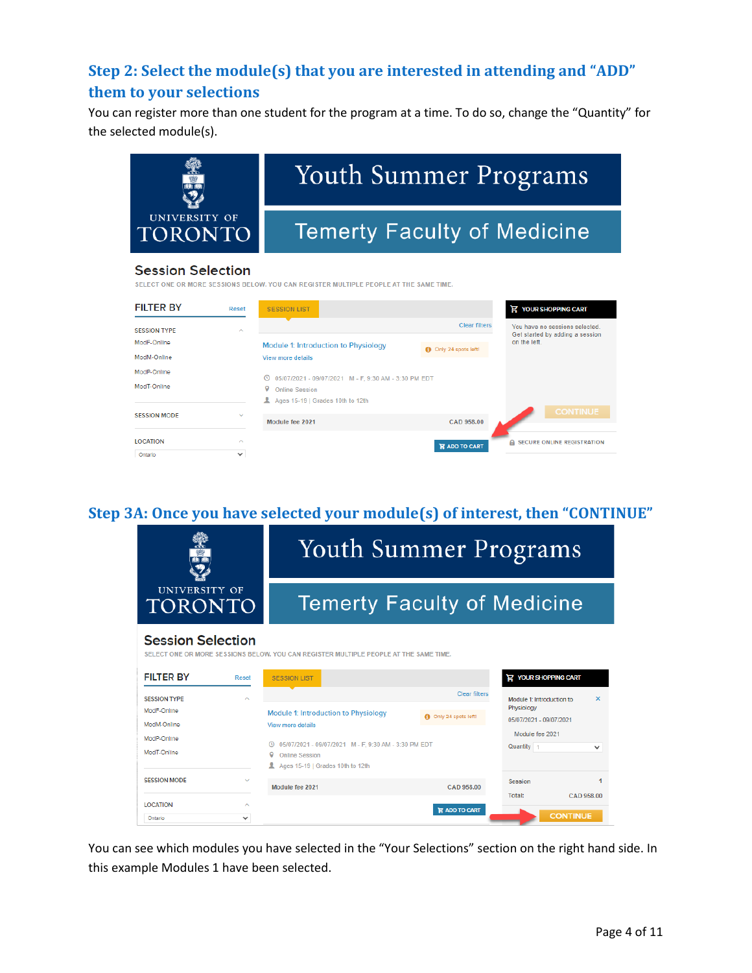# <span id="page-3-0"></span>**Step 2: Select the module(s) that you are interested in attending and "ADD" them to your selections**

You can register more than one student for the program at a time. To do so, change the "Quantity" for the selected module(s).



#### **Session Selection**

SELECT ONE OR MORE SESSIONS BELOW. YOU CAN REGISTER MULTIPLE PEOPLE AT THE SAME TIME.

| <b>FILTER BY</b>           | Reset                  | <b>SESSION LIST</b>                                                                                                               |                      | <b>E</b> YOUR SHOPPING CART                                       |
|----------------------------|------------------------|-----------------------------------------------------------------------------------------------------------------------------------|----------------------|-------------------------------------------------------------------|
| <b>SESSION TYPE</b>        | ∼                      |                                                                                                                                   | <b>Clear filters</b> | You have no sessions selected.<br>Get started by adding a session |
| ModF-Online<br>ModM-Online |                        | Module 1: Introduction to Physiology<br>View more details                                                                         | Only 24 spots left!  | on the left.                                                      |
| ModP-Online<br>ModT-Online |                        | 05/07/2021 - 09/07/2021 M - F, 9:30 AM - 3:30 PM EDT<br>$\circ$<br>9<br><b>Online Session</b><br>Ages 15-19   Grades 10th to 12th |                      |                                                                   |
| <b>SESSION MODE</b>        | $\checkmark$           | Module fee 2021                                                                                                                   | <b>CAD 958.00</b>    | <b>CONTINUE</b>                                                   |
| <b>LOCATION</b><br>Ontario | $\sim$<br>$\checkmark$ |                                                                                                                                   | <b>R</b> ADD TO CART | <b>SECURE ONLINE REGISTRATION</b><br>A.                           |

# <span id="page-3-1"></span>**Step 3A: Once you have selected your module(s) of interest, then "CONTINUE"**



You can see which modules you have selected in the "Your Selections" section on the right hand side. In this example Modules 1 have been selected.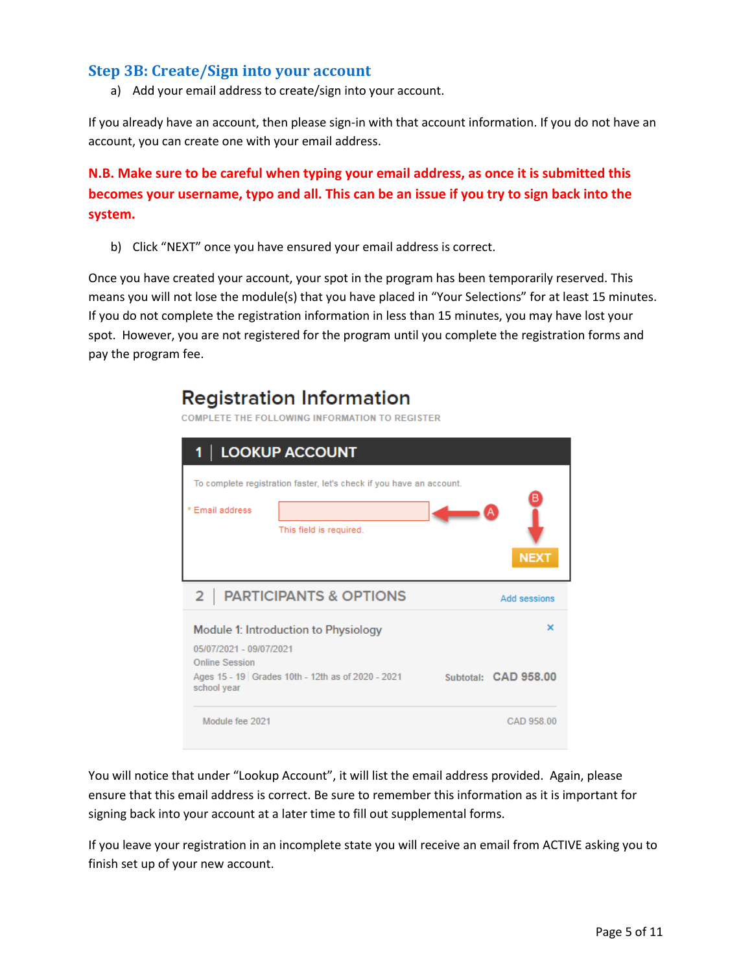# <span id="page-4-0"></span>**Step 3B: Create/Sign into your account**

a) Add your email address to create/sign into your account.

If you already have an account, then please sign-in with that account information. If you do not have an account, you can create one with your email address.

**N.B. Make sure to be careful when typing your email address, as once it is submitted this becomes your username, typo and all. This can be an issue if you try to sign back into the system.**

b) Click "NEXT" once you have ensured your email address is correct.

Once you have created your account, your spot in the program has been temporarily reserved. This means you will not lose the module(s) that you have placed in "Your Selections" for at least 15 minutes. If you do not complete the registration information in less than 15 minutes, you may have lost your spot. However, you are not registered for the program until you complete the registration forms and pay the program fee.

# **Registration Information**

**COMPLETE THE FOLLOWING INFORMATION TO REGISTER** 

| LOOKUP ACCOUNT<br>1                              |                                                                                                 |  |                      |  |
|--------------------------------------------------|-------------------------------------------------------------------------------------------------|--|----------------------|--|
| * Email address                                  | To complete registration faster, let's check if you have an account.<br>This field is required. |  | <b>NEXT</b>          |  |
| 2                                                | <b>PARTICIPANTS &amp; OPTIONS</b>                                                               |  | Add sessions         |  |
| 05/07/2021 - 09/07/2021<br><b>Online Session</b> | Module 1: Introduction to Physiology                                                            |  | $\times$             |  |
| school year                                      | Ages 15 - 19 Grades 10th - 12th as of 2020 - 2021                                               |  | Subtotal: CAD 958.00 |  |
| Module fee 2021                                  |                                                                                                 |  | CAD 958.00           |  |

You will notice that under "Lookup Account", it will list the email address provided. Again, please ensure that this email address is correct. Be sure to remember this information as it is important for signing back into your account at a later time to fill out supplemental forms.

If you leave your registration in an incomplete state you will receive an email from ACTIVE asking you to finish set up of your new account.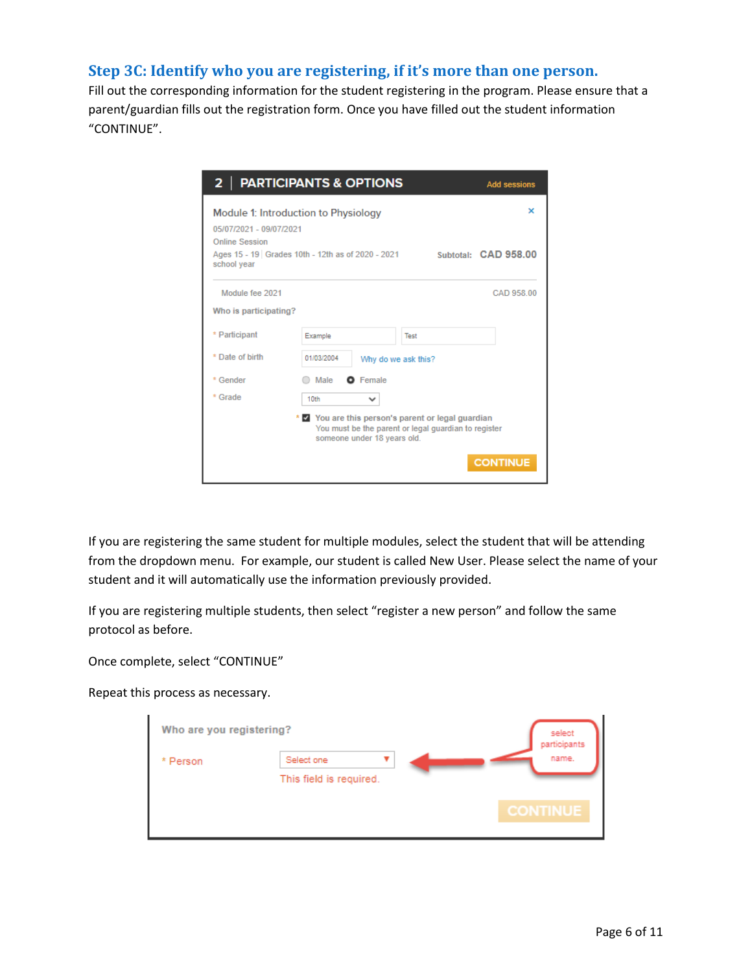# <span id="page-5-0"></span>**Step 3C: Identify who you are registering, if it's more than one person.**

Fill out the corresponding information for the student registering in the program. Please ensure that a parent/guardian fills out the registration form. Once you have filled out the student information "CONTINUE".

| <b>PARTICIPANTS &amp; OPTIONS</b><br>2 <sub>1</sub><br><b>Add sessions</b>                                                                    |                  |                                                                                                                                           |  |                           |
|-----------------------------------------------------------------------------------------------------------------------------------------------|------------------|-------------------------------------------------------------------------------------------------------------------------------------------|--|---------------------------|
| Module 1: Introduction to Physiology<br>05/07/2021 - 09/07/2021<br><b>Online Session</b><br>Ages 15 - 19 Grades 10th - 12th as of 2020 - 2021 |                  |                                                                                                                                           |  | ×<br>Subtotal: CAD 958.00 |
| school year                                                                                                                                   |                  |                                                                                                                                           |  |                           |
| Module fee 2021                                                                                                                               |                  |                                                                                                                                           |  | CAD 958.00                |
| Who is participating?                                                                                                                         |                  |                                                                                                                                           |  |                           |
| * Participant                                                                                                                                 | Example          | Test                                                                                                                                      |  |                           |
| * Date of birth                                                                                                                               | 01/03/2004       | Why do we ask this?                                                                                                                       |  |                           |
| * Gender                                                                                                                                      | Male             | <b>O</b> Female                                                                                                                           |  |                           |
| * Grade                                                                                                                                       | 10 <sub>th</sub> | $\checkmark$                                                                                                                              |  |                           |
|                                                                                                                                               |                  | * Y You are this person's parent or legal guardian<br>You must be the parent or legal guardian to register<br>someone under 18 years old. |  |                           |
|                                                                                                                                               |                  |                                                                                                                                           |  | <b>CONTINUE</b>           |

If you are registering the same student for multiple modules, select the student that will be attending from the dropdown menu. For example, our student is called New User. Please select the name of your student and it will automatically use the information previously provided.

If you are registering multiple students, then select "register a new person" and follow the same protocol as before.

Once complete, select "CONTINUE"

Repeat this process as necessary.

| Who are you registering? |                         | select<br>participants |
|--------------------------|-------------------------|------------------------|
| * Person                 | Select one              | name.                  |
|                          | This field is required. |                        |
|                          |                         | <b>CONTINUE</b>        |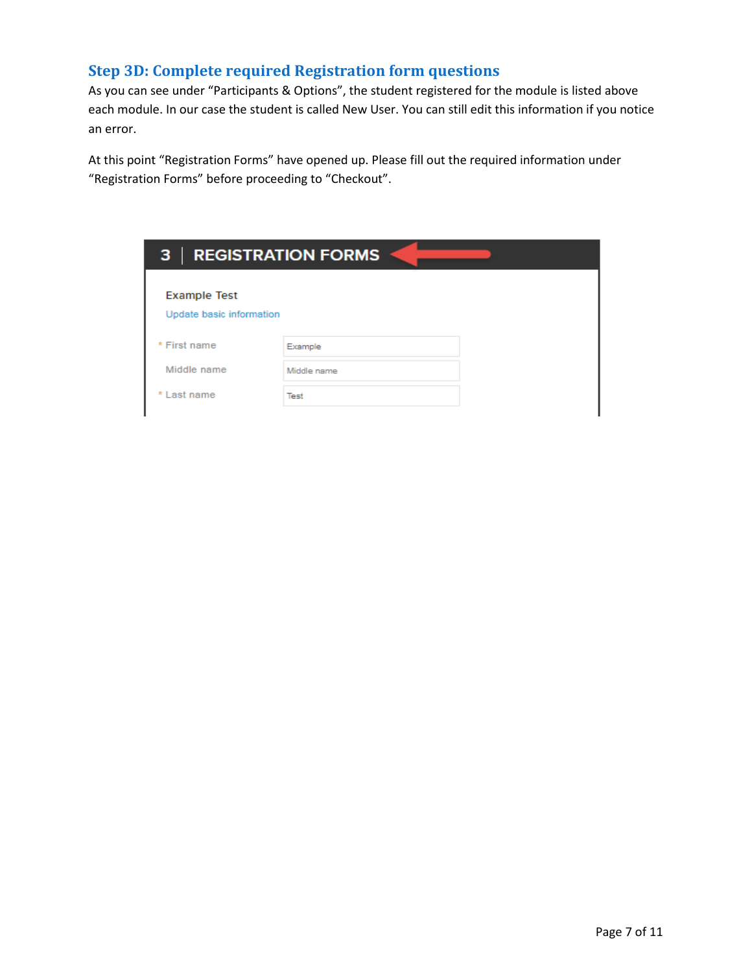# <span id="page-6-0"></span>**Step 3D: Complete required Registration form questions**

As you can see under "Participants & Options", the student registered for the module is listed above each module. In our case the student is called New User. You can still edit this information if you notice an error.

At this point "Registration Forms" have opened up. Please fill out the required information under "Registration Forms" before proceeding to "Checkout".

| <b>REGISTRATION FORMS</b><br>3 |             |  |
|--------------------------------|-------------|--|
| <b>Example Test</b>            |             |  |
| Update basic information       |             |  |
| * First name                   | Example     |  |
| Middle name                    | Middle name |  |
| * Last name                    | Test        |  |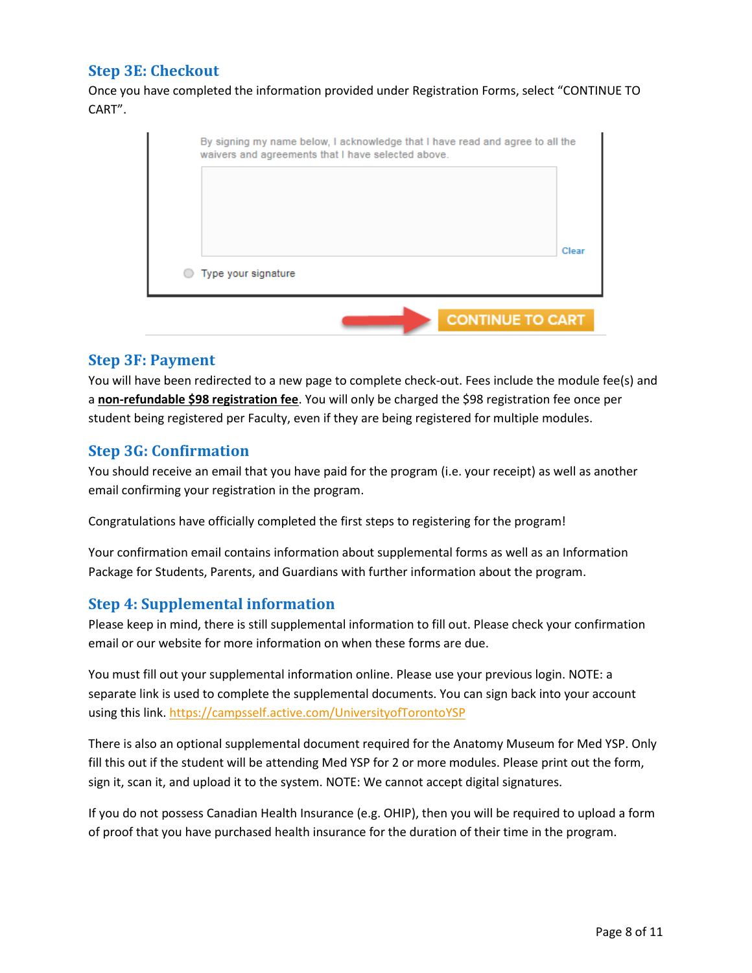# <span id="page-7-0"></span>**Step 3E: Checkout**

Once you have completed the information provided under Registration Forms, select "CONTINUE TO CART".

|                             |  | Clear |
|-----------------------------|--|-------|
| $\circ$ Type your signature |  |       |

#### <span id="page-7-1"></span>**Step 3F: Payment**

You will have been redirected to a new page to complete check-out. Fees include the module fee(s) and a **non-refundable \$98 registration fee**. You will only be charged the \$98 registration fee once per student being registered per Faculty, even if they are being registered for multiple modules.

# <span id="page-7-2"></span>**Step 3G: Confirmation**

You should receive an email that you have paid for the program (i.e. your receipt) as well as another email confirming your registration in the program.

Congratulations have officially completed the first steps to registering for the program!

Your confirmation email contains information about supplemental forms as well as an Information Package for Students, Parents, and Guardians with further information about the program.

#### <span id="page-7-3"></span>**Step 4: Supplemental information**

Please keep in mind, there is still supplemental information to fill out. Please check your confirmation email or our website for more information on when these forms are due.

You must fill out your supplemental information online. Please use your previous login. NOTE: a separate link is used to complete the supplemental documents. You can sign back into your account using this link. <https://campsself.active.com/UniversityofTorontoYSP>

There is also an optional supplemental document required for the Anatomy Museum for Med YSP. Only fill this out if the student will be attending Med YSP for 2 or more modules. Please print out the form, sign it, scan it, and upload it to the system. NOTE: We cannot accept digital signatures.

If you do not possess Canadian Health Insurance (e.g. OHIP), then you will be required to upload a form of proof that you have purchased health insurance for the duration of their time in the program.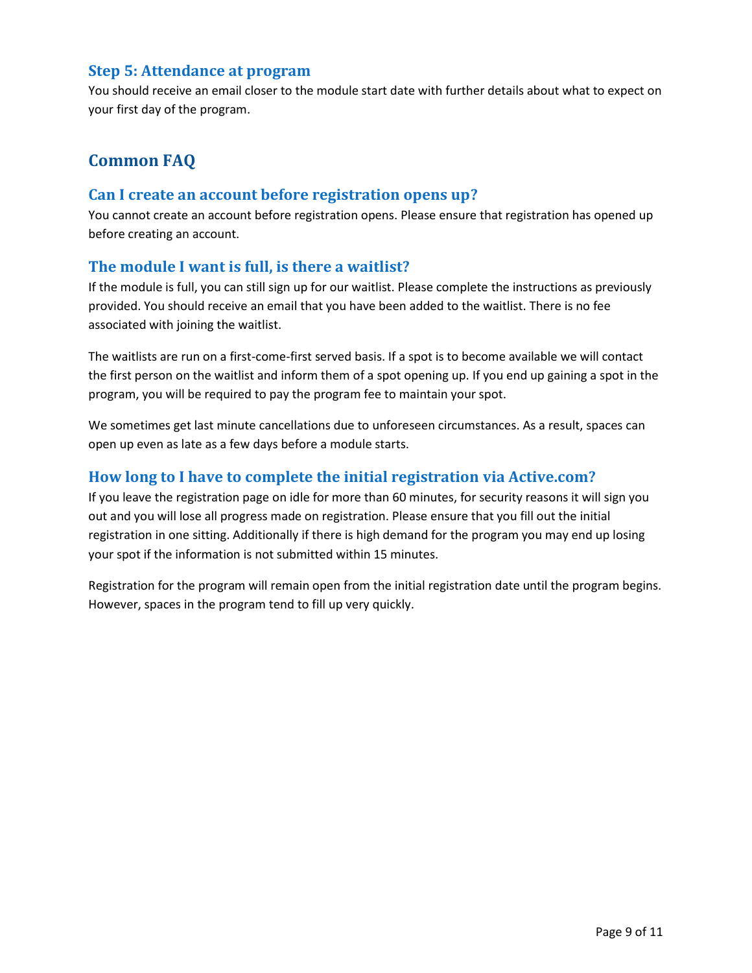# <span id="page-8-0"></span>**Step 5: Attendance at program**

You should receive an email closer to the module start date with further details about what to expect on your first day of the program.

# <span id="page-8-1"></span>**Common FAQ**

## <span id="page-8-2"></span>**Can I create an account before registration opens up?**

You cannot create an account before registration opens. Please ensure that registration has opened up before creating an account.

#### <span id="page-8-3"></span>**The module I want is full, is there a waitlist?**

If the module is full, you can still sign up for our waitlist. Please complete the instructions as previously provided. You should receive an email that you have been added to the waitlist. There is no fee associated with joining the waitlist.

The waitlists are run on a first-come-first served basis. If a spot is to become available we will contact the first person on the waitlist and inform them of a spot opening up. If you end up gaining a spot in the program, you will be required to pay the program fee to maintain your spot.

We sometimes get last minute cancellations due to unforeseen circumstances. As a result, spaces can open up even as late as a few days before a module starts.

# <span id="page-8-4"></span>**How long to I have to complete the initial registration via Active.com?**

If you leave the registration page on idle for more than 60 minutes, for security reasons it will sign you out and you will lose all progress made on registration. Please ensure that you fill out the initial registration in one sitting. Additionally if there is high demand for the program you may end up losing your spot if the information is not submitted within 15 minutes.

Registration for the program will remain open from the initial registration date until the program begins. However, spaces in the program tend to fill up very quickly.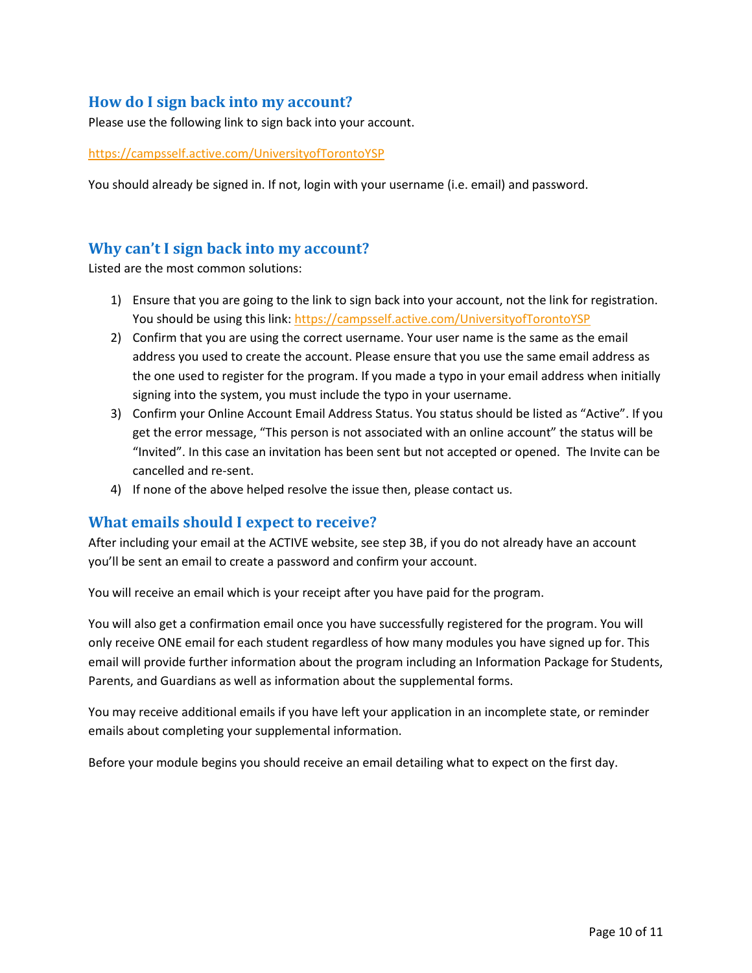# <span id="page-9-0"></span>**How do I sign back into my account?**

Please use the following link to sign back into your account.

<https://campsself.active.com/UniversityofTorontoYSP>

You should already be signed in. If not, login with your username (i.e. email) and password.

# <span id="page-9-1"></span>**Why can't I sign back into my account?**

Listed are the most common solutions:

- 1) Ensure that you are going to the link to sign back into your account, not the link for registration. You should be using this link[: https://campsself.active.com/UniversityofTorontoYSP](https://campsself.active.com/UniversityofTorontoYSP)
- 2) Confirm that you are using the correct username. Your user name is the same as the email address you used to create the account. Please ensure that you use the same email address as the one used to register for the program. If you made a typo in your email address when initially signing into the system, you must include the typo in your username.
- 3) Confirm your Online Account Email Address Status. You status should be listed as "Active". If you get the error message, "This person is not associated with an online account" the status will be "Invited". In this case an invitation has been sent but not accepted or opened. The Invite can be cancelled and re-sent.
- 4) If none of the above helped resolve the issue then, please contact us.

# <span id="page-9-2"></span>**What emails should I expect to receive?**

After including your email at the ACTIVE website, see step 3B, if you do not already have an account you'll be sent an email to create a password and confirm your account.

You will receive an email which is your receipt after you have paid for the program.

You will also get a confirmation email once you have successfully registered for the program. You will only receive ONE email for each student regardless of how many modules you have signed up for. This email will provide further information about the program including an Information Package for Students, Parents, and Guardians as well as information about the supplemental forms.

You may receive additional emails if you have left your application in an incomplete state, or reminder emails about completing your supplemental information.

Before your module begins you should receive an email detailing what to expect on the first day.